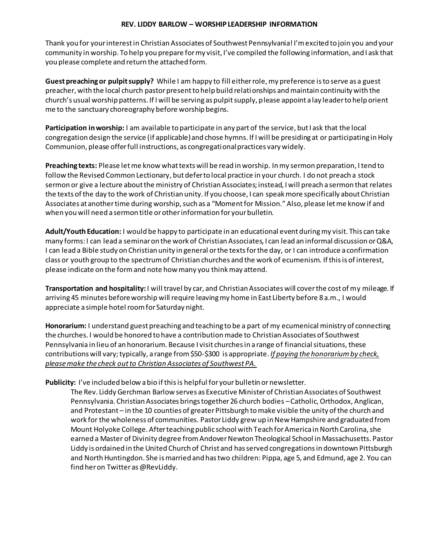Thank you for your interest in Christian Associates of Southwest Pennsylvania! I'm excited to join you and your community in worship. To help you prepare for my visit, I've compiled the following information, and I ask that you please complete and return the attached form.

**Guest preaching or pulpit supply?** While I am happy to fill either role, my preference is to serve as a guest preacher, with the local church pastor present to help build relationships and maintain continuity with the church's usual worship patterns. If I will be serving as pulpit supply, please appoint a lay leader to help orient me to the sanctuary choreography before worship begins.

**Participation in worship:** I am available to participate in any part of the service, but I ask that the local congregation design the service (if applicable) and chose hymns. If I will be presiding at or participating in Holy Communion, please offer full instructions, as congregational practices vary widely.

**Preaching texts:** Please let me know what texts will be read in worship. In my sermon preparation, I tend to follow the Revised Common Lectionary, but defer to local practice in your church. I do not preach a stock sermon or give a lecture about the ministry of Christian Associates; instead, I will preach a sermon that relates the texts of the day to the work of Christian unity. If you choose, I can speak more specifically about Christian Associates at another time during worship, such as a "Moment for Mission." Also, please let me know if and when you will need a sermon title or other information for your bulletin.

**Adult/Youth Education:** I would be happy to participate in an educational event during my visit. This can take many forms: I can lead a seminar on the work of Christian Associates, I can lead an informal discussion or Q&A, I can lead a Bible study on Christian unity in general or the texts for the day, or I can introduce a confirmation class or youth group to the spectrum of Christian churches and the work of ecumenism. If this is of interest, please indicate on the form and note how many you think may attend.

**Transportation and hospitality:** I will travel by car, and Christian Associates will cover the cost of my mileage. If arriving 45 minutes before worship will require leaving my home in East Liberty before 8 a.m., I would appreciate a simple hotel room for Saturday night.

**Honorarium:** I understand guest preaching and teaching to be a part of my ecumenical ministry of connecting the churches. I would be honored to have a contribution made to Christian Associates of Southwest Pennsylvania in lieu of an honorarium. Because I visit churches in a range of financial situations, these contributions will vary; typically, a range from \$50-\$300 is appropriate. *If paying the honorarium by check, please make the check out to Christian Associates of Southwest PA.*

## **Publicity:** I've included below a bio if this is helpful for your bulletin or newsletter.

The Rev. Liddy Gerchman Barlow serves as Executive Minister of Christian Associates of Southwest Pennsylvania. Christian Associates brings together 26 church bodies –Catholic, Orthodox, Anglican, and Protestant – in the 10 counties of greater Pittsburgh to make visible the unity of the church and work for the wholeness of communities. Pastor Liddy grew up in New Hampshire and graduated from Mount Holyoke College. After teaching public school with Teach for America in North Carolina, she earned a Master of Divinity degree from Andover Newton Theological School in Massachusetts. Pastor Liddy is ordained in the United Church of Christ and has served congregations in downtown Pittsburgh and North Huntingdon. She is married and has two children: Pippa, age 5, and Edmund, age 2. You can find her on Twitter as @RevLiddy.